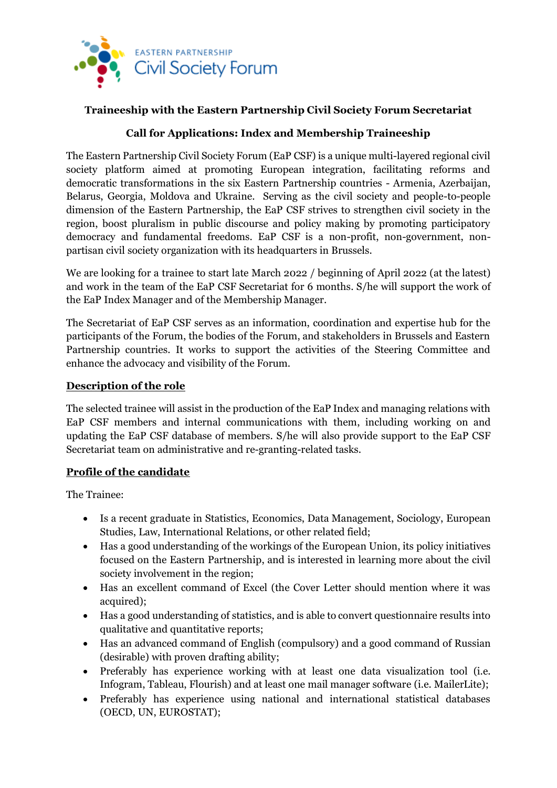

# **Traineeship with the Eastern Partnership Civil Society Forum Secretariat**

## **Call for Applications: Index and Membership Traineeship**

The Eastern Partnership Civil Society Forum (EaP CSF) is a unique multi-layered regional civil society platform aimed at promoting European integration, facilitating reforms and democratic transformations in the six Eastern Partnership countries - Armenia, Azerbaijan, Belarus, Georgia, Moldova and Ukraine. Serving as the civil society and people-to-people dimension of the Eastern Partnership, the EaP CSF strives to strengthen civil society in the region, boost pluralism in public discourse and policy making by promoting participatory democracy and fundamental freedoms. EaP CSF is a non-profit, non-government, nonpartisan civil society organization with its headquarters in Brussels.

We are looking for a trainee to start late March 2022 / beginning of April 2022 (at the latest) and work in the team of the EaP CSF Secretariat for 6 months. S/he will support the work of the EaP Index Manager and of the Membership Manager.

The Secretariat of EaP CSF serves as an information, coordination and expertise hub for the participants of the Forum, the bodies of the Forum, and stakeholders in Brussels and Eastern Partnership countries. It works to support the activities of the Steering Committee and enhance the advocacy and visibility of the Forum.

### **Description of the role**

The selected trainee will assist in the production of the EaP Index and managing relations with EaP CSF members and internal communications with them, including working on and updating the EaP CSF database of members. S/he will also provide support to the EaP CSF Secretariat team on administrative and re-granting-related tasks.

## **Profile of the candidate**

The Trainee:

- Is a recent graduate in Statistics, Economics, Data Management, Sociology, European Studies, Law, International Relations, or other related field;
- Has a good understanding of the workings of the European Union, its policy initiatives focused on the Eastern Partnership, and is interested in learning more about the civil society involvement in the region;
- Has an excellent command of Excel (the Cover Letter should mention where it was acquired);
- Has a good understanding of statistics, and is able to convert questionnaire results into qualitative and quantitative reports;
- Has an advanced command of English (compulsory) and a good command of Russian (desirable) with proven drafting ability;
- Preferably has experience working with at least one data visualization tool (i.e. Infogram, Tableau, Flourish) and at least one mail manager software (i.e. MailerLite);
- Preferably has experience using national and international statistical databases (OECD, UN, EUROSTAT);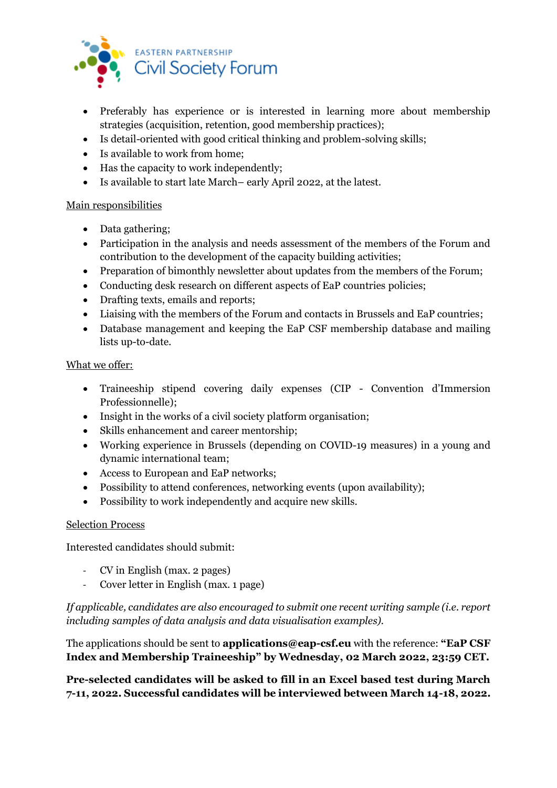

- Preferably has experience or is interested in learning more about membership strategies (acquisition, retention, good membership practices);
- Is detail-oriented with good critical thinking and problem-solving skills;
- Is available to work from home;
- Has the capacity to work independently;
- Is available to start late March– early April 2022, at the latest.

### Main responsibilities

- Data gathering;
- Participation in the analysis and needs assessment of the members of the Forum and contribution to the development of the capacity building activities;
- Preparation of bimonthly newsletter about updates from the members of the Forum;
- Conducting desk research on different aspects of EaP countries policies;
- Drafting texts, emails and reports;
- Liaising with the members of the Forum and contacts in Brussels and EaP countries;
- Database management and keeping the EaP CSF membership database and mailing lists up-to-date.

#### What we offer:

- Traineeship stipend covering daily expenses (CIP Convention d'Immersion Professionnelle);
- Insight in the works of a civil society platform organisation;
- Skills enhancement and career mentorship;
- Working experience in Brussels (depending on COVID-19 measures) in a young and dynamic international team;
- Access to European and EaP networks;
- Possibility to attend conferences, networking events (upon availability);
- Possibility to work independently and acquire new skills.

#### Selection Process

Interested candidates should submit:

- CV in English (max. 2 pages)
- Cover letter in English (max. 1 page)

*If applicable, candidates are also encouraged to submit one recent writing sample (i.e. report including samples of data analysis and data visualisation examples).* 

The applications should be sent to **applications@eap-csf.eu** with the reference: **"EaP CSF Index and Membership Traineeship" by Wednesday, 02 March 2022, 23:59 CET.** 

**Pre-selected candidates will be asked to fill in an Excel based test during March 7-11, 2022. Successful candidates will be interviewed between March 14-18, 2022.**